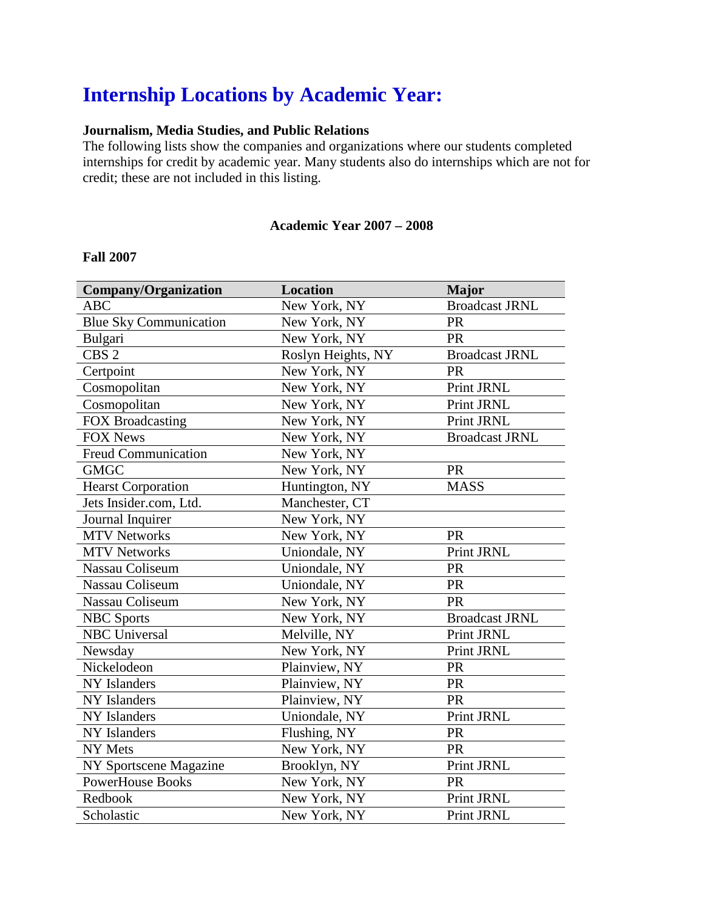# **Internship Locations by Academic Year:**

## **Journalism, Media Studies, and Public Relations**

The following lists show the companies and organizations where our students completed internships for credit by academic year. Many students also do internships which are not for credit; these are not included in this listing.

#### **Academic Year 2007 – 2008**

| <b>Company/Organization</b>   | <b>Location</b>    | <b>Major</b>          |
|-------------------------------|--------------------|-----------------------|
| <b>ABC</b>                    | New York, NY       | <b>Broadcast JRNL</b> |
| <b>Blue Sky Communication</b> | New York, NY       | PR                    |
| Bulgari                       | New York, NY       | <b>PR</b>             |
| CBS <sub>2</sub>              | Roslyn Heights, NY | <b>Broadcast JRNL</b> |
| Certpoint                     | New York, NY       | PR                    |
| Cosmopolitan                  | New York, NY       | Print JRNL            |
| Cosmopolitan                  | New York, NY       | Print JRNL            |
| FOX Broadcasting              | New York, NY       | Print JRNL            |
| <b>FOX News</b>               | New York, NY       | <b>Broadcast JRNL</b> |
| <b>Freud Communication</b>    | New York, NY       |                       |
| <b>GMGC</b>                   | New York, NY       | PR                    |
| <b>Hearst Corporation</b>     | Huntington, NY     | <b>MASS</b>           |
| Jets Insider.com, Ltd.        | Manchester, CT     |                       |
| Journal Inquirer              | New York, NY       |                       |
| <b>MTV Networks</b>           | New York, NY       | <b>PR</b>             |
| <b>MTV Networks</b>           | Uniondale, NY      | Print JRNL            |
| Nassau Coliseum               | Uniondale, NY      | PR                    |
| Nassau Coliseum               | Uniondale, NY      | PR                    |
| Nassau Coliseum               | New York, NY       | PR                    |
| <b>NBC</b> Sports             | New York, NY       | <b>Broadcast JRNL</b> |
| <b>NBC</b> Universal          | Melville, NY       | Print JRNL            |
| Newsday                       | New York, NY       | Print JRNL            |
| Nickelodeon                   | Plainview, NY      | PR                    |
| NY Islanders                  | Plainview, NY      | <b>PR</b>             |
| <b>NY</b> Islanders           | Plainview, NY      | PR                    |
| <b>NY</b> Islanders           | Uniondale, NY      | Print JRNL            |
| <b>NY</b> Islanders           | Flushing, NY       | PR                    |
| NY Mets                       | New York, NY       | <b>PR</b>             |
| NY Sportscene Magazine        | Brooklyn, NY       | Print JRNL            |
| <b>PowerHouse Books</b>       | New York, NY       | <b>PR</b>             |
| Redbook                       | New York, NY       | Print JRNL            |
| Scholastic                    | New York, NY       | Print JRNL            |

#### **Fall 2007**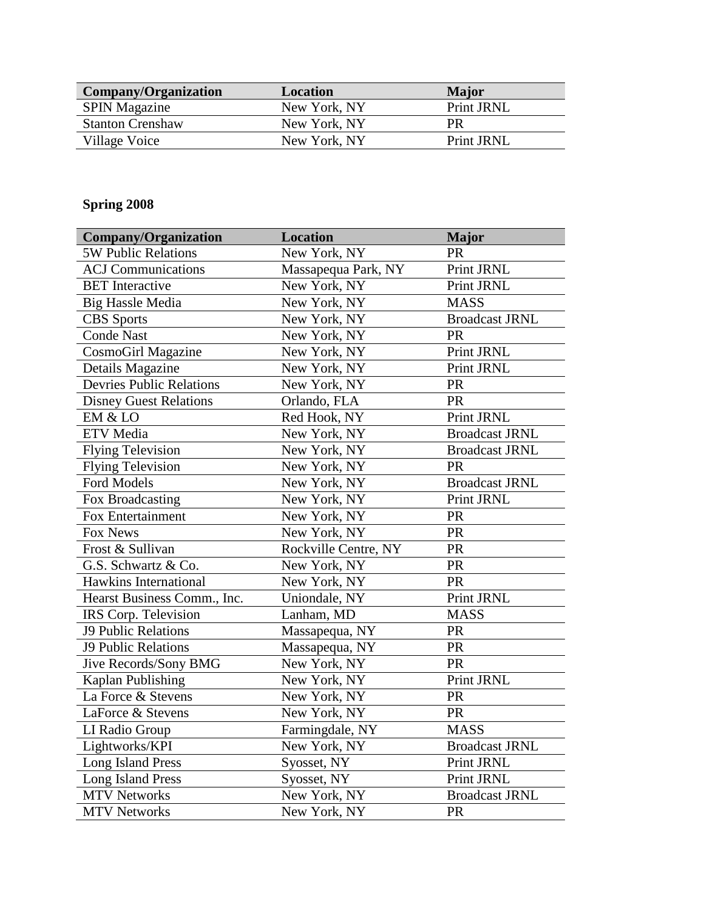| Company/Organization    | <b>Location</b> | <b>Major</b> |
|-------------------------|-----------------|--------------|
| <b>SPIN Magazine</b>    | New York, NY    | Print JRNL   |
| <b>Stanton Crenshaw</b> | New York, NY    | PR           |
| Village Voice           | New York, NY    | Print JRNL   |

## **Spring 2008**

| <b>Company/Organization</b>     | <b>Location</b>      | <b>Major</b>          |
|---------------------------------|----------------------|-----------------------|
| <b>5W Public Relations</b>      | New York, NY         | PR                    |
| <b>ACJ Communications</b>       | Massapequa Park, NY  | Print JRNL            |
| <b>BET</b> Interactive          | New York, NY         | Print JRNL            |
| <b>Big Hassle Media</b>         | New York, NY         | <b>MASS</b>           |
| <b>CBS</b> Sports               | New York, NY         | <b>Broadcast JRNL</b> |
| <b>Conde Nast</b>               | New York, NY         | PR                    |
| <b>CosmoGirl Magazine</b>       | New York, NY         | Print JRNL            |
| Details Magazine                | New York, NY         | Print JRNL            |
| <b>Devries Public Relations</b> | New York, NY         | PR                    |
| <b>Disney Guest Relations</b>   | Orlando, FLA         | <b>PR</b>             |
| EM & LO                         | Red Hook, NY         | Print JRNL            |
| <b>ETV</b> Media                | New York, NY         | <b>Broadcast JRNL</b> |
| <b>Flying Television</b>        | New York, NY         | <b>Broadcast JRNL</b> |
| <b>Flying Television</b>        | New York, NY         | PR                    |
| Ford Models                     | New York, NY         | <b>Broadcast JRNL</b> |
| Fox Broadcasting                | New York, NY         | Print JRNL            |
| Fox Entertainment               | New York, NY         | PR                    |
| Fox News                        | New York, NY         | PR                    |
| Frost & Sullivan                | Rockville Centre, NY | <b>PR</b>             |
| G.S. Schwartz & Co.             | New York, NY         | PR                    |
| <b>Hawkins International</b>    | New York, NY         | PR                    |
| Hearst Business Comm., Inc.     | Uniondale, NY        | Print JRNL            |
| IRS Corp. Television            | Lanham, MD           | <b>MASS</b>           |
| <b>J9 Public Relations</b>      | Massapequa, NY       | <b>PR</b>             |
| <b>J9 Public Relations</b>      | Massapequa, NY       | <b>PR</b>             |
| Jive Records/Sony BMG           | New York, NY         | PR                    |
| Kaplan Publishing               | New York, NY         | Print JRNL            |
| La Force & Stevens              | New York, NY         | PR                    |
| LaForce & Stevens               | New York, NY         | <b>PR</b>             |
| LI Radio Group                  | Farmingdale, NY      | <b>MASS</b>           |
| Lightworks/KPI                  | New York, NY         | <b>Broadcast JRNL</b> |
| <b>Long Island Press</b>        | Syosset, NY          | Print JRNL            |
| <b>Long Island Press</b>        | Syosset, NY          | Print JRNL            |
| <b>MTV Networks</b>             | New York, NY         | <b>Broadcast JRNL</b> |
| <b>MTV Networks</b>             | New York, NY         | PR                    |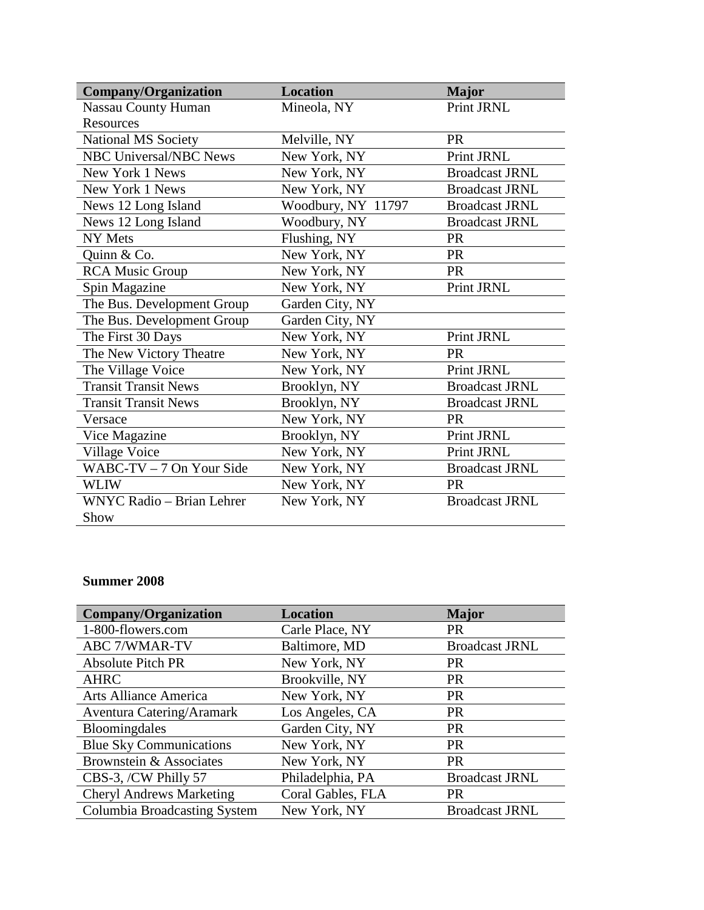| <b>Company/Organization</b>      | <b>Location</b>    | <b>Major</b>          |
|----------------------------------|--------------------|-----------------------|
| <b>Nassau County Human</b>       | Mineola, NY        | Print JRNL            |
| Resources                        |                    |                       |
| National MS Society              | Melville, NY       | <b>PR</b>             |
| <b>NBC Universal/NBC News</b>    | New York, NY       | Print JRNL            |
| New York 1 News                  | New York, NY       | <b>Broadcast JRNL</b> |
| New York 1 News                  | New York, NY       | <b>Broadcast JRNL</b> |
| News 12 Long Island              | Woodbury, NY 11797 | <b>Broadcast JRNL</b> |
| News 12 Long Island              | Woodbury, NY       | <b>Broadcast JRNL</b> |
| NY Mets                          | Flushing, NY       | <b>PR</b>             |
| Quinn & Co.                      | New York, NY       | <b>PR</b>             |
| <b>RCA Music Group</b>           | New York, NY       | <b>PR</b>             |
| Spin Magazine                    | New York, NY       | Print JRNL            |
| The Bus. Development Group       | Garden City, NY    |                       |
| The Bus. Development Group       | Garden City, NY    |                       |
| The First 30 Days                | New York, NY       | Print JRNL            |
| The New Victory Theatre          | New York, NY       | <b>PR</b>             |
| The Village Voice                | New York, NY       | Print JRNL            |
| <b>Transit Transit News</b>      | Brooklyn, NY       | <b>Broadcast JRNL</b> |
| <b>Transit Transit News</b>      | Brooklyn, NY       | <b>Broadcast JRNL</b> |
| Versace                          | New York, NY       | <b>PR</b>             |
| Vice Magazine                    | Brooklyn, NY       | Print JRNL            |
| Village Voice                    | New York, NY       | Print JRNL            |
| WABC-TV - 7 On Your Side         | New York, NY       | <b>Broadcast JRNL</b> |
| WLIW                             | New York, NY       | <b>PR</b>             |
| <b>WNYC Radio - Brian Lehrer</b> | New York, NY       | <b>Broadcast JRNL</b> |
| Show                             |                    |                       |

### **Summer 2008**

| <b>Company/Organization</b>     | <b>Location</b>   | <b>Major</b>          |
|---------------------------------|-------------------|-----------------------|
| 1-800-flowers.com               | Carle Place, NY   | <b>PR</b>             |
| <b>ABC 7/WMAR-TV</b>            | Baltimore, MD     | <b>Broadcast JRNL</b> |
| <b>Absolute Pitch PR</b>        | New York, NY      | <b>PR</b>             |
| <b>AHRC</b>                     | Brookville, NY    | <b>PR</b>             |
| Arts Alliance America           | New York, NY      | <b>PR</b>             |
| Aventura Catering/Aramark       | Los Angeles, CA   | <b>PR</b>             |
| <b>Bloomingdales</b>            | Garden City, NY   | <b>PR</b>             |
| <b>Blue Sky Communications</b>  | New York, NY      | <b>PR</b>             |
| Brownstein & Associates         | New York, NY      | <b>PR</b>             |
| CBS-3, /CW Philly 57            | Philadelphia, PA  | <b>Broadcast JRNL</b> |
| <b>Cheryl Andrews Marketing</b> | Coral Gables, FLA | <b>PR</b>             |
| Columbia Broadcasting System    | New York, NY      | <b>Broadcast JRNL</b> |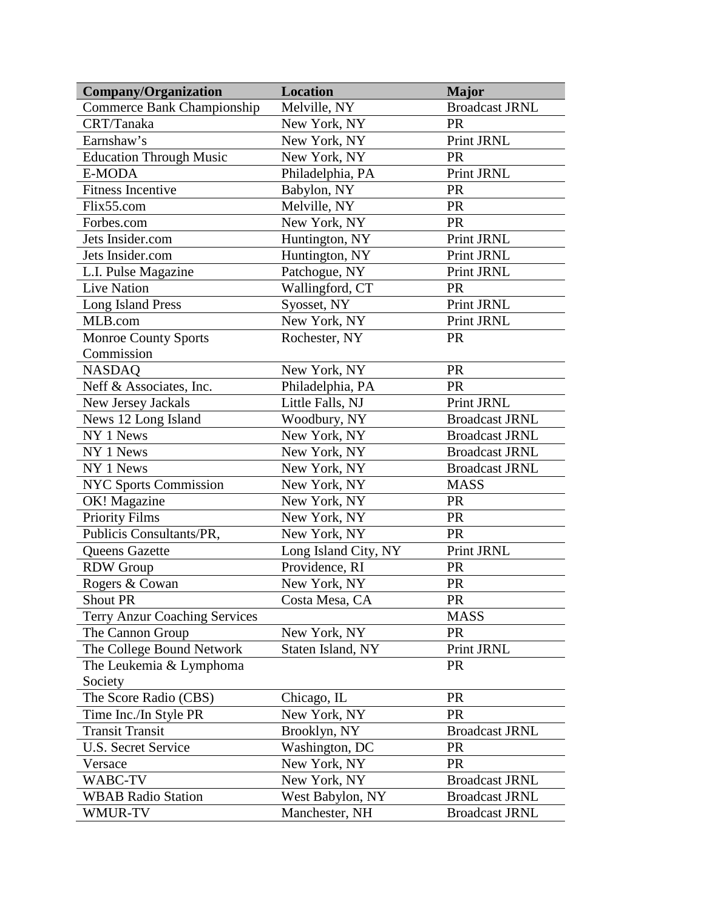| <b>Company/Organization</b>          | <b>Location</b>      | <b>Major</b>          |
|--------------------------------------|----------------------|-----------------------|
| Commerce Bank Championship           | Melville, NY         | <b>Broadcast JRNL</b> |
| CRT/Tanaka                           | New York, NY         | <b>PR</b>             |
| Earnshaw's                           | New York, NY         | Print JRNL            |
| <b>Education Through Music</b>       | New York, NY         | <b>PR</b>             |
| E-MODA                               | Philadelphia, PA     | Print JRNL            |
| <b>Fitness Incentive</b>             | Babylon, NY          | <b>PR</b>             |
| Flix55.com                           | Melville, NY         | <b>PR</b>             |
| Forbes.com                           | New York, NY         | <b>PR</b>             |
| Jets Insider.com                     | Huntington, NY       | Print JRNL            |
| Jets Insider.com                     | Huntington, NY       | Print JRNL            |
| L.I. Pulse Magazine                  | Patchogue, NY        | Print JRNL            |
| Live Nation                          | Wallingford, CT      | <b>PR</b>             |
| Long Island Press                    | Syosset, NY          | Print JRNL            |
| MLB.com                              | New York, NY         | Print JRNL            |
| <b>Monroe County Sports</b>          | Rochester, NY        | <b>PR</b>             |
| Commission                           |                      |                       |
| <b>NASDAQ</b>                        | New York, NY         | <b>PR</b>             |
| Neff & Associates, Inc.              | Philadelphia, PA     | <b>PR</b>             |
| New Jersey Jackals                   | Little Falls, NJ     | Print JRNL            |
| News 12 Long Island                  | Woodbury, NY         | <b>Broadcast JRNL</b> |
| NY 1 News                            | New York, NY         | <b>Broadcast JRNL</b> |
| NY 1 News                            | New York, NY         | <b>Broadcast JRNL</b> |
| NY 1 News                            | New York, NY         | <b>Broadcast JRNL</b> |
| <b>NYC Sports Commission</b>         | New York, NY         | <b>MASS</b>           |
| OK! Magazine                         | New York, NY         | PR                    |
| <b>Priority Films</b>                | New York, NY         | <b>PR</b>             |
| Publicis Consultants/PR,             | New York, NY         | <b>PR</b>             |
| Queens Gazette                       | Long Island City, NY | Print JRNL            |
| <b>RDW Group</b>                     | Providence, RI       | <b>PR</b>             |
| Rogers & Cowan                       | New York, NY         | <b>PR</b>             |
| <b>Shout PR</b>                      | Costa Mesa, CA       | <b>PR</b>             |
| <b>Terry Anzur Coaching Services</b> |                      | <b>MASS</b>           |
| The Cannon Group                     | New York, NY         | <b>PR</b>             |
| The College Bound Network            | Staten Island, NY    | Print JRNL            |
| The Leukemia & Lymphoma              |                      | <b>PR</b>             |
| Society                              |                      |                       |
| The Score Radio (CBS)                | Chicago, IL          | <b>PR</b>             |
| Time Inc./In Style PR                | New York, NY         | <b>PR</b>             |
| <b>Transit Transit</b>               | Brooklyn, NY         | <b>Broadcast JRNL</b> |
| U.S. Secret Service                  | Washington, DC       | <b>PR</b>             |
| Versace                              | New York, NY         | <b>PR</b>             |
| WABC-TV                              | New York, NY         | <b>Broadcast JRNL</b> |
| <b>WBAB Radio Station</b>            | West Babylon, NY     | <b>Broadcast JRNL</b> |
| WMUR-TV                              | Manchester, NH       | <b>Broadcast JRNL</b> |